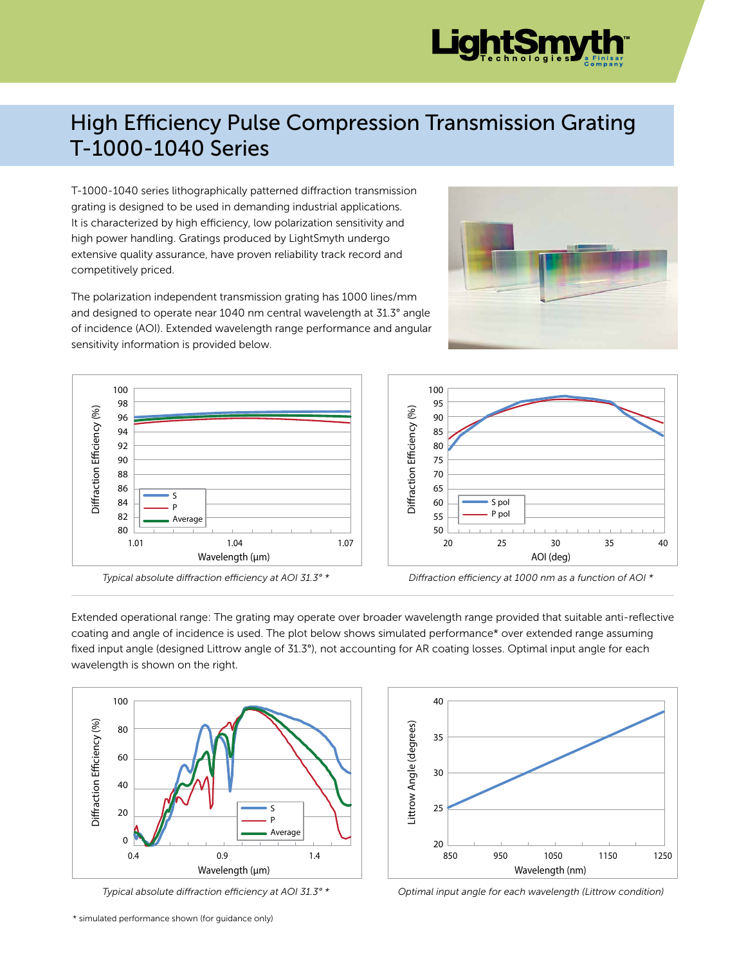

## High Efficiency Pulse Compression Transmission Grating T-1000-1040 Series

T-1000-1040 series lithographically patterned diffraction transmission grating is designed to be used in demanding industrial applications. It is characterized by high efficiency, low polarization sensitivity and high power handling. Gratings produced by LightSmyth undergo extensive quality assurance, have proven reliability track record and competitively priced.

The polarization independent transmission grating has 1000 lines/mm and designed to operate near 1040 nm central wavelength at 31.3° angle of incidence (AOI). Extended wavelength range performance and angular sensitivity information is provided below.



*Typical absolute diffraction efficiency at AOI 31.3° \** 

Extended operational range: The grating may operate over broader wavelength range provided that suitable anti-reflective coating and angle of incidence is used. The plot below shows simulated performance\* over extended range assuming fixed input angle (designed Littrow angle of 31.3°), not accounting for AR coating losses. Optimal input angle for each wavelength is shown on the right.



*Typical absolute diffraction efficiency at AOI 31.3° \** 



*Optimal input angle for each wavelength (Littrow condition)*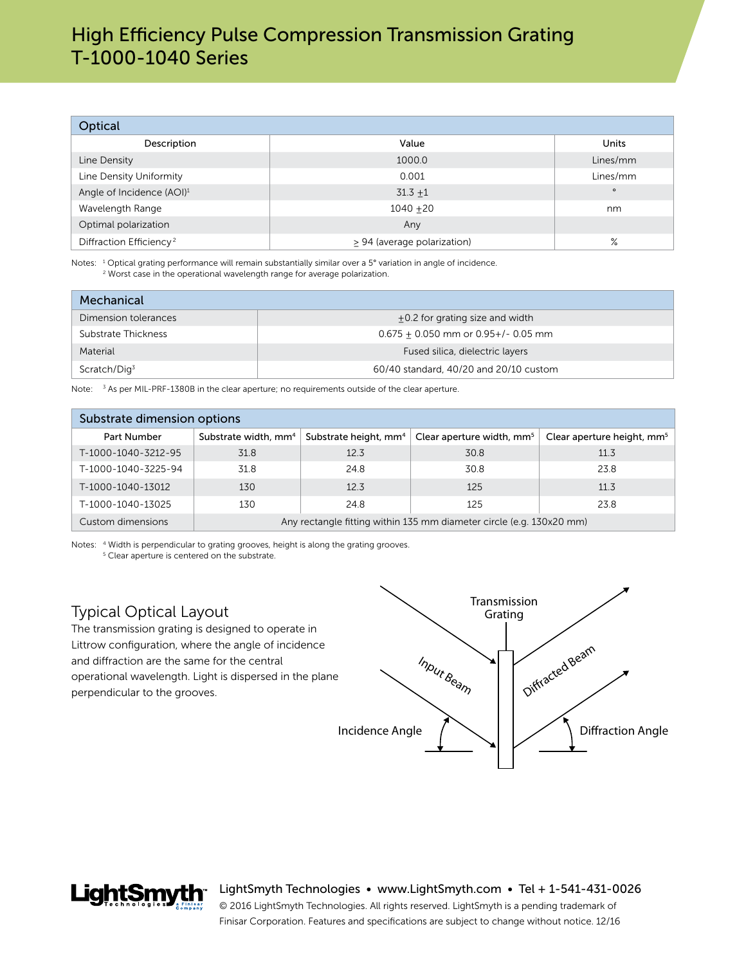| Optical                               |                             |          |  |  |  |
|---------------------------------------|-----------------------------|----------|--|--|--|
| Description                           | Value                       | Units    |  |  |  |
| Line Density                          | 1000.0                      | Lines/mm |  |  |  |
| Line Density Uniformity               | 0.001                       | Lines/mm |  |  |  |
| Angle of Incidence (AOI) <sup>1</sup> | $31.3 + 1$                  | $\circ$  |  |  |  |
| Wavelength Range                      | $1040 + 20$                 | nm       |  |  |  |
| Optimal polarization                  | Any                         |          |  |  |  |
| Diffraction Efficiency <sup>2</sup>   | > 94 (average polarization) | $\%$     |  |  |  |

Notes: <sup>1</sup> Optical grating performance will remain substantially similar over a 5° variation in angle of incidence. <sup>2</sup> Worst case in the operational wavelength range for average polarization.

| Mechanical               |                                          |  |  |  |
|--------------------------|------------------------------------------|--|--|--|
| Dimension tolerances     | +0.2 for grating size and width          |  |  |  |
| Substrate Thickness      | $0.675 + 0.050$ mm or $0.95 +/- 0.05$ mm |  |  |  |
| Material                 | Fused silica, dielectric layers          |  |  |  |
| Scratch/Dig <sup>3</sup> | 60/40 standard, 40/20 and 20/10 custom   |  |  |  |

Note: <sup>3</sup> As per MIL-PRF-1380B in the clear aperture; no requirements outside of the clear aperture.

| Substrate dimension options |                                                                      |                                   |                                       |                                        |  |  |
|-----------------------------|----------------------------------------------------------------------|-----------------------------------|---------------------------------------|----------------------------------------|--|--|
| Part Number                 | Substrate width, mm <sup>4</sup>                                     | Substrate height, mm <sup>4</sup> | Clear aperture width, mm <sup>5</sup> | Clear aperture height, mm <sup>5</sup> |  |  |
| T-1000-1040-3212-95         | 31.8                                                                 | 12.3                              | 30.8                                  | 11.3                                   |  |  |
| T-1000-1040-3225-94         | 31.8                                                                 | 24.8                              | 30.8                                  | 23.8                                   |  |  |
| T-1000-1040-13012           | 130                                                                  | 12.3                              | 125                                   | 11.3                                   |  |  |
| T-1000-1040-13025           | 130                                                                  | 24.8                              | 125                                   | 23.8                                   |  |  |
| Custom dimensions           | Any rectangle fitting within 135 mm diameter circle (e.g. 130x20 mm) |                                   |                                       |                                        |  |  |

Notes: 4 Width is perpendicular to grating grooves, height is along the grating grooves. <sup>5</sup> Clear aperture is centered on the substrate.

## Typical Optical Layout

**LiahtSmvth**\*

The transmission grating is designed to operate in Littrow configuration, where the angle of incidence and diffraction are the same for the central operational wavelength. Light is dispersed in the plane perpendicular to the grooves.



LightSmyth Technologies • www.LightSmyth.com • Tel + 1-541-431-0026

© 2016 LightSmyth Technologies. All rights reserved. LightSmyth is a pending trademark of Finisar Corporation. Features and specifications are subject to change without notice. 12/16